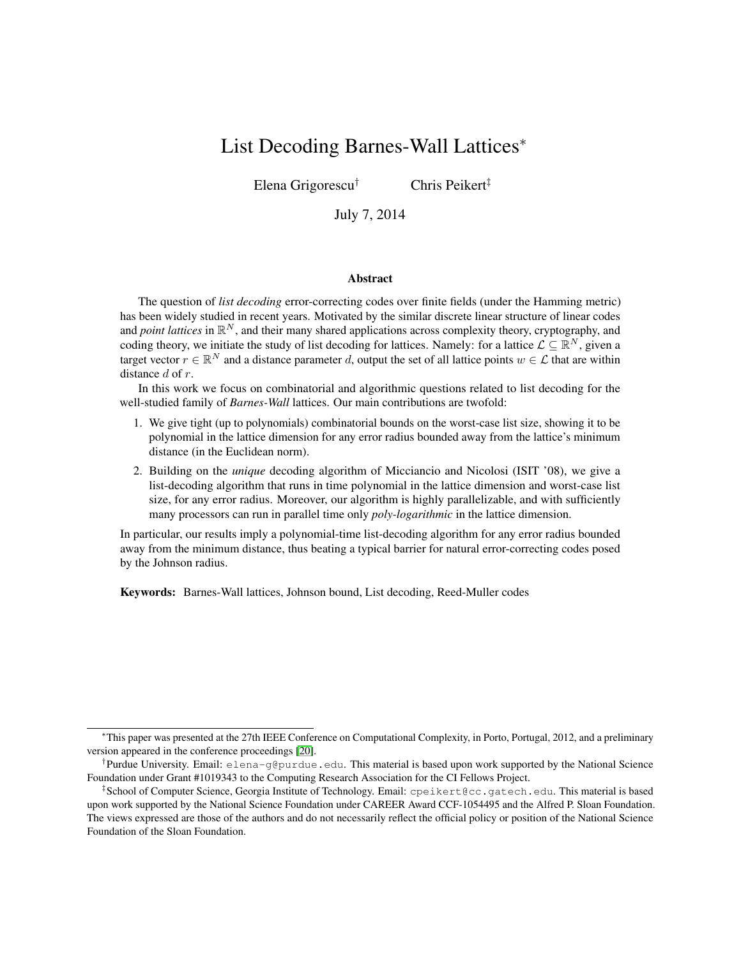# List Decoding Barnes-Wall Lattices<sup>∗</sup>

Elena Grigorescu† Chris Peikert‡

July 7, 2014

#### Abstract

The question of *list decoding* error-correcting codes over finite fields (under the Hamming metric) has been widely studied in recent years. Motivated by the similar discrete linear structure of linear codes and *point lattices* in  $\mathbb{R}^N$ , and their many shared applications across complexity theory, cryptography, and coding theory, we initiate the study of list decoding for lattices. Namely: for a lattice  $\mathcal{L} \subseteq \mathbb{R}^N$ , given a target vector  $r \in \mathbb{R}^N$  and a distance parameter d, output the set of all lattice points  $w \in \mathcal{L}$  that are within distance d of r.

In this work we focus on combinatorial and algorithmic questions related to list decoding for the well-studied family of *Barnes-Wall* lattices. Our main contributions are twofold:

- 1. We give tight (up to polynomials) combinatorial bounds on the worst-case list size, showing it to be polynomial in the lattice dimension for any error radius bounded away from the lattice's minimum distance (in the Euclidean norm).
- 2. Building on the *unique* decoding algorithm of Micciancio and Nicolosi (ISIT '08), we give a list-decoding algorithm that runs in time polynomial in the lattice dimension and worst-case list size, for any error radius. Moreover, our algorithm is highly parallelizable, and with sufficiently many processors can run in parallel time only *poly-logarithmic* in the lattice dimension.

In particular, our results imply a polynomial-time list-decoding algorithm for any error radius bounded away from the minimum distance, thus beating a typical barrier for natural error-correcting codes posed by the Johnson radius.

Keywords: Barnes-Wall lattices, Johnson bound, List decoding, Reed-Muller codes

<sup>∗</sup>This paper was presented at the 27th IEEE Conference on Computational Complexity, in Porto, Portugal, 2012, and a preliminary version appeared in the conference proceedings [\[20\]](#page-14-0).

<sup>†</sup> Purdue University. Email: elena-g@purdue.edu. This material is based upon work supported by the National Science Foundation under Grant #1019343 to the Computing Research Association for the CI Fellows Project.

<sup>‡</sup> School of Computer Science, Georgia Institute of Technology. Email: cpeikert@cc.gatech.edu. This material is based upon work supported by the National Science Foundation under CAREER Award CCF-1054495 and the Alfred P. Sloan Foundation. The views expressed are those of the authors and do not necessarily reflect the official policy or position of the National Science Foundation of the Sloan Foundation.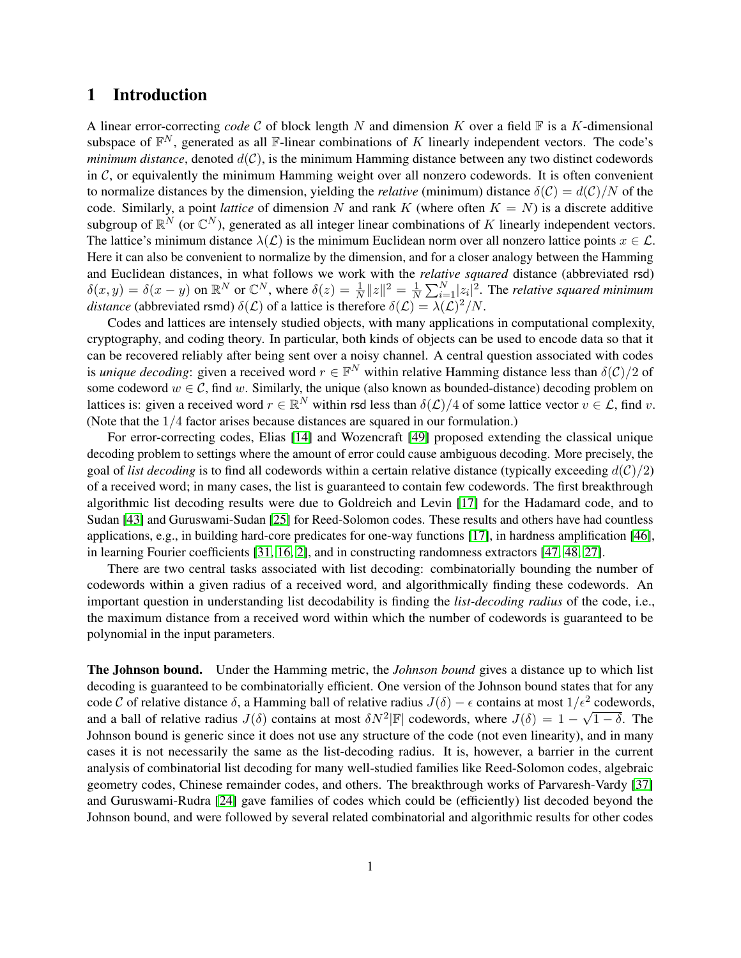### 1 Introduction

A linear error-correcting *code*  $C$  of block length  $N$  and dimension  $K$  over a field  $\mathbb F$  is a  $K$ -dimensional subspace of  $\mathbb{F}^N$ , generated as all F-linear combinations of K linearly independent vectors. The code's *minimum distance*, denoted  $d(C)$ , is the minimum Hamming distance between any two distinct codewords in  $\mathcal{C}$ , or equivalently the minimum Hamming weight over all nonzero codewords. It is often convenient to normalize distances by the dimension, yielding the *relative* (minimum) distance  $\delta(C) = d(C)/N$  of the code. Similarly, a point *lattice* of dimension N and rank K (where often  $K = N$ ) is a discrete additive subgroup of  $\mathbb{R}^N$  (or  $\mathbb{C}^N$ ), generated as all integer linear combinations of K linearly independent vectors. The lattice's minimum distance  $\lambda(\mathcal{L})$  is the minimum Euclidean norm over all nonzero lattice points  $x \in \mathcal{L}$ . Here it can also be convenient to normalize by the dimension, and for a closer analogy between the Hamming and Euclidean distances, in what follows we work with the *relative squared* distance (abbreviated rsd)  $\delta(x, y) = \delta(x - y)$  on  $\mathbb{R}^N$  or  $\mathbb{C}^N$ , where  $\delta(z) = \frac{1}{N} ||z||^2 = \frac{1}{N}$  $\frac{1}{N} \sum_{i=1}^{N} |z_i|^2$ . The *relative squared minimum distance* (abbreviated rsmd)  $\delta(\mathcal{L})$  of a lattice is therefore  $\delta(\mathcal{L}) = \lambda(\mathcal{L})^2/N$ .

Codes and lattices are intensely studied objects, with many applications in computational complexity, cryptography, and coding theory. In particular, both kinds of objects can be used to encode data so that it can be recovered reliably after being sent over a noisy channel. A central question associated with codes is *unique decoding*: given a received word  $r \in \mathbb{F}^N$  within relative Hamming distance less than  $\delta(\mathcal{C})/2$  of some codeword  $w \in \mathcal{C}$ , find w. Similarly, the unique (also known as bounded-distance) decoding problem on lattices is: given a received word  $r \in \mathbb{R}^N$  within rsd less than  $\delta(\mathcal{L})/4$  of some lattice vector  $v \in \mathcal{L}$ , find v. (Note that the 1/4 factor arises because distances are squared in our formulation.)

For error-correcting codes, Elias [\[14\]](#page-13-0) and Wozencraft [\[49\]](#page-15-0) proposed extending the classical unique decoding problem to settings where the amount of error could cause ambiguous decoding. More precisely, the goal of *list decoding* is to find all codewords within a certain relative distance (typically exceeding  $d(C)/2$ ) of a received word; in many cases, the list is guaranteed to contain few codewords. The first breakthrough algorithmic list decoding results were due to Goldreich and Levin [\[17\]](#page-13-1) for the Hadamard code, and to Sudan [\[43\]](#page-15-1) and Guruswami-Sudan [\[25\]](#page-14-1) for Reed-Solomon codes. These results and others have had countless applications, e.g., in building hard-core predicates for one-way functions [\[17\]](#page-13-1), in hardness amplification [\[46\]](#page-15-2), in learning Fourier coefficients [\[31,](#page-14-2) [16,](#page-13-2) [2\]](#page-13-3), and in constructing randomness extractors [\[47,](#page-15-3) [48,](#page-15-4) [27\]](#page-14-3).

There are two central tasks associated with list decoding: combinatorially bounding the number of codewords within a given radius of a received word, and algorithmically finding these codewords. An important question in understanding list decodability is finding the *list-decoding radius* of the code, i.e., the maximum distance from a received word within which the number of codewords is guaranteed to be polynomial in the input parameters.

The Johnson bound. Under the Hamming metric, the *Johnson bound* gives a distance up to which list decoding is guaranteed to be combinatorially efficient. One version of the Johnson bound states that for any code C of relative distance  $\delta$ , a Hamming ball of relative radius  $J(\delta) - \epsilon$  contains at most  $1/\epsilon^2$  codewords, and a ball of relative radius  $J(\delta)$  contains at most  $\delta N^2|\mathbb{F}|$  codewords, where  $J(\delta) = 1 - \sqrt{1 - \delta}$ . The Johnson bound is generic since it does not use any structure of the code (not even linearity), and in many cases it is not necessarily the same as the list-decoding radius. It is, however, a barrier in the current analysis of combinatorial list decoding for many well-studied families like Reed-Solomon codes, algebraic geometry codes, Chinese remainder codes, and others. The breakthrough works of Parvaresh-Vardy [\[37\]](#page-15-5) and Guruswami-Rudra [\[24\]](#page-14-4) gave families of codes which could be (efficiently) list decoded beyond the Johnson bound, and were followed by several related combinatorial and algorithmic results for other codes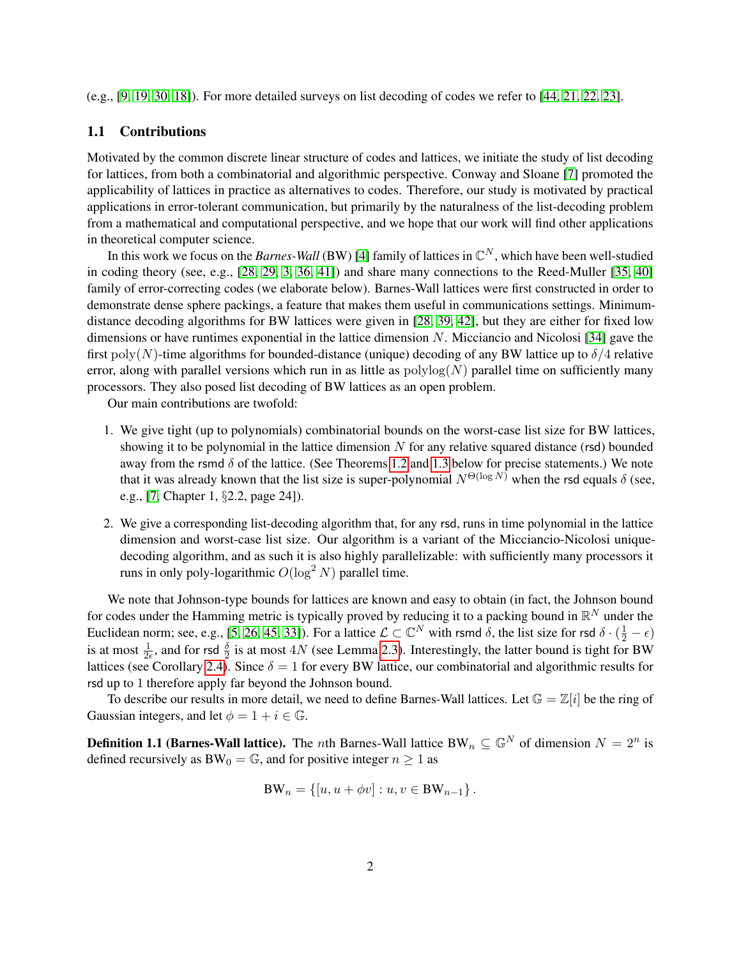(e.g., [\[9,](#page-13-4) [19,](#page-13-5) [30,](#page-14-5) [18\]](#page-13-6)). For more detailed surveys on list decoding of codes we refer to [\[44,](#page-15-6) [21,](#page-14-6) [22,](#page-14-7) [23\]](#page-14-8).

#### 1.1 Contributions

Motivated by the common discrete linear structure of codes and lattices, we initiate the study of list decoding for lattices, from both a combinatorial and algorithmic perspective. Conway and Sloane [\[7\]](#page-13-7) promoted the applicability of lattices in practice as alternatives to codes. Therefore, our study is motivated by practical applications in error-tolerant communication, but primarily by the naturalness of the list-decoding problem from a mathematical and computational perspective, and we hope that our work will find other applications in theoretical computer science.

In this work we focus on the *Barnes-Wall* (BW) [\[4\]](#page-13-8) family of lattices in  $\mathbb{C}^N$ , which have been well-studied in coding theory (see, e.g., [\[28,](#page-14-9) [29,](#page-14-10) [3,](#page-13-9) [36,](#page-15-7) [41\]](#page-15-8)) and share many connections to the Reed-Muller [\[35,](#page-14-11) [40\]](#page-15-9) family of error-correcting codes (we elaborate below). Barnes-Wall lattices were first constructed in order to demonstrate dense sphere packings, a feature that makes them useful in communications settings. Minimumdistance decoding algorithms for BW lattices were given in [\[28,](#page-14-9) [39,](#page-15-10) [42\]](#page-15-11), but they are either for fixed low dimensions or have runtimes exponential in the lattice dimension N. Micciancio and Nicolosi [\[34\]](#page-14-12) gave the first poly(N)-time algorithms for bounded-distance (unique) decoding of any BW lattice up to  $\delta/4$  relative error, along with parallel versions which run in as little as  $polylog(N)$  parallel time on sufficiently many processors. They also posed list decoding of BW lattices as an open problem.

Our main contributions are twofold:

- 1. We give tight (up to polynomials) combinatorial bounds on the worst-case list size for BW lattices, showing it to be polynomial in the lattice dimension  $N$  for any relative squared distance (rsd) bounded away from the rsmd  $\delta$  of the lattice. (See Theorems [1.2](#page-3-0) and [1.3](#page-3-1) below for precise statements.) We note that it was already known that the list size is super-polynomial  $N^{\Theta(\log N)}$  when the rsd equals  $\delta$  (see, e.g., [\[7,](#page-13-7) Chapter 1, §2.2, page 24]).
- 2. We give a corresponding list-decoding algorithm that, for any rsd, runs in time polynomial in the lattice dimension and worst-case list size. Our algorithm is a variant of the Micciancio-Nicolosi uniquedecoding algorithm, and as such it is also highly parallelizable: with sufficiently many processors it runs in only poly-logarithmic  $O(\log^2 N)$  parallel time.

We note that Johnson-type bounds for lattices are known and easy to obtain (in fact, the Johnson bound for codes under the Hamming metric is typically proved by reducing it to a packing bound in  $\mathbb{R}^N$  under the Euclidean norm; see, e.g., [\[5,](#page-13-10) [26,](#page-14-13) [45,](#page-15-12) [33\]](#page-14-14)). For a lattice  $\mathcal{L} \subset \mathbb{C}^N$  with rsmd  $\delta$ , the list size for rsd  $\delta \cdot (\frac{1}{2} - \epsilon)$ is at most  $\frac{1}{2\epsilon}$ , and for rsd  $\frac{\delta}{2}$  is at most 4N (see Lemma [2.3\)](#page-7-0). Interestingly, the latter bound is tight for BW lattices (see Corollary [2.4\)](#page-7-1). Since  $\delta = 1$  for every BW lattice, our combinatorial and algorithmic results for rsd up to 1 therefore apply far beyond the Johnson bound.

To describe our results in more detail, we need to define Barnes-Wall lattices. Let  $\mathbb{G} = \mathbb{Z}[i]$  be the ring of Gaussian integers, and let  $\phi = 1 + i \in \mathbb{G}$ .

**Definition 1.1 (Barnes-Wall lattice).** The *n*th Barnes-Wall lattice BW<sub>n</sub>  $\subseteq \mathbb{G}^N$  of dimension  $N = 2^n$  is defined recursively as  $BW_0 = \mathbb{G}$ , and for positive integer  $n \geq 1$  as

$$
BW_n = \{ [u, u + \phi v] : u, v \in BW_{n-1} \}.
$$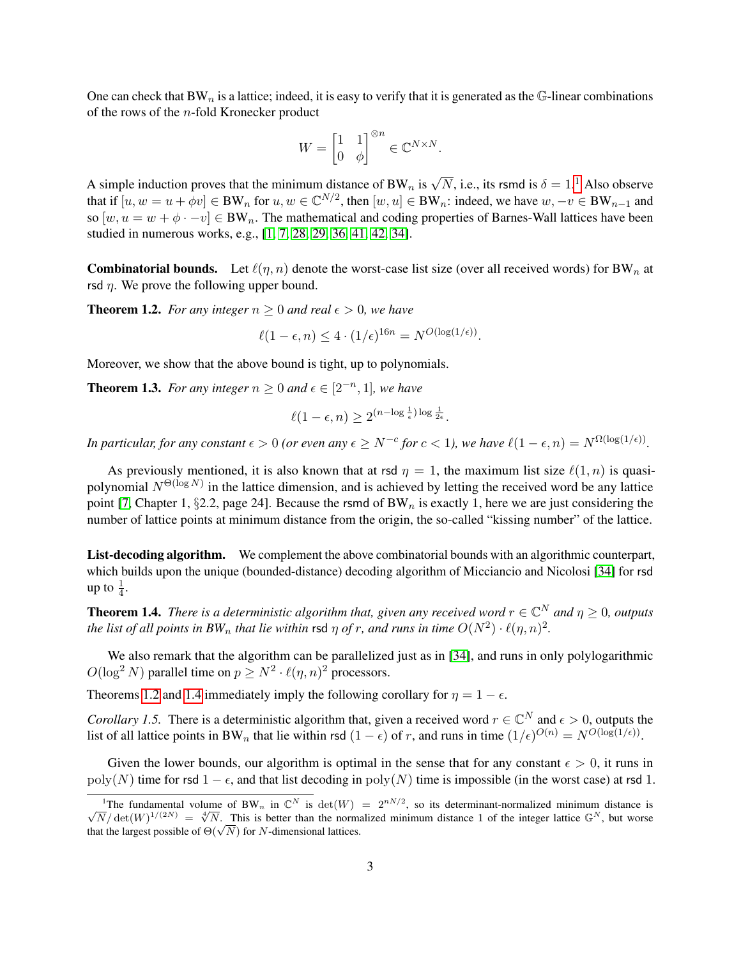One can check that BW<sub>n</sub> is a lattice; indeed, it is easy to verify that it is generated as the  $\mathbb G$ -linear combinations of the rows of the n-fold Kronecker product

$$
W = \begin{bmatrix} 1 & 1 \\ 0 & \phi \end{bmatrix}^{\otimes n} \in \mathbb{C}^{N \times N}.
$$

A simple induction proves that the minimum distance of BW<sub>n</sub> is  $\sqrt{N}$ , i.e., its rsmd is  $\delta = 1$  $\delta = 1$ .<sup>1</sup> Also observe that if  $[u, w = u + \phi v] \in BW_n$  for  $u, w \in \mathbb{C}^{N/2}$ , then  $[w, u] \in BW_n$ : indeed, we have  $w, -v \in BW_{n-1}$  and so  $[w, u = w + \phi \cdot -v] \in BW_n$ . The mathematical and coding properties of Barnes-Wall lattices have been studied in numerous works, e.g., [\[1,](#page-12-0) [7,](#page-13-7) [28,](#page-14-9) [29,](#page-14-10) [36,](#page-15-7) [41,](#page-15-8) [42,](#page-15-11) [34\]](#page-14-12).

**Combinatorial bounds.** Let  $\ell(\eta, n)$  denote the worst-case list size (over all received words) for BW<sub>n</sub> at rsd  $\eta$ . We prove the following upper bound.

<span id="page-3-0"></span>**Theorem 1.2.** *For any integer*  $n \geq 0$  *and real*  $\epsilon > 0$ *, we have* 

$$
\ell(1 - \epsilon, n) \le 4 \cdot (1/\epsilon)^{16n} = N^{O(\log(1/\epsilon))}.
$$

Moreover, we show that the above bound is tight, up to polynomials.

<span id="page-3-1"></span>**Theorem 1.3.** For any integer  $n \geq 0$  and  $\epsilon \in [2^{-n}, 1]$ , we have

$$
\ell(1-\epsilon,n) \ge 2^{(n-\log\frac{1}{\epsilon})\log\frac{1}{2\epsilon}}.
$$

*In particular, for any constant*  $\epsilon > 0$  (or even any  $\epsilon \ge N^{-c}$  for  $c < 1$ ), we have  $\ell(1 - \epsilon, n) = N^{\Omega(\log(1/\epsilon))}$ .

As previously mentioned, it is also known that at rsd  $\eta = 1$ , the maximum list size  $\ell(1, n)$  is quasipolynomial  $N^{\Theta(\log N)}$  in the lattice dimension, and is achieved by letting the received word be any lattice point [\[7,](#page-13-7) Chapter 1, §2.2, page 24]. Because the rsmd of  $BW_n$  is exactly 1, here we are just considering the number of lattice points at minimum distance from the origin, the so-called "kissing number" of the lattice.

List-decoding algorithm. We complement the above combinatorial bounds with an algorithmic counterpart, which builds upon the unique (bounded-distance) decoding algorithm of Micciancio and Nicolosi [\[34\]](#page-14-12) for rsd up to  $\frac{1}{4}$ .

<span id="page-3-3"></span>**Theorem 1.4.** There is a deterministic algorithm that, given any received word  $r \in \mathbb{C}^N$  and  $\eta \geq 0$ , outputs *the list of all points in BW<sub>n</sub> that lie within rsd*  $\eta$  *of r, and runs in time*  $O(N^2) \cdot \ell(\eta, n)^2$ *.* 

We also remark that the algorithm can be parallelized just as in [\[34\]](#page-14-12), and runs in only polylogarithmic  $O(\log^2 N)$  parallel time on  $p \ge N^2 \cdot \ell(\eta, n)^2$  processors.

Theorems [1.2](#page-3-0) and [1.4](#page-3-3) immediately imply the following corollary for  $\eta = 1 - \epsilon$ .

*Corollary 1.5.* There is a deterministic algorithm that, given a received word  $r \in \mathbb{C}^N$  and  $\epsilon > 0$ , outputs the list of all lattice points in BW<sub>n</sub> that lie within rsd  $(1 - \epsilon)$  of r, and runs in time  $(1/\epsilon)^{O(n)} = N^{O(\log(1/\epsilon))}$ .

Given the lower bounds, our algorithm is optimal in the sense that for any constant  $\epsilon > 0$ , it runs in poly(N) time for rsd  $1 - \epsilon$ , and that list decoding in poly(N) time is impossible (in the worst case) at rsd 1.

<span id="page-3-2"></span><sup>&</sup>lt;sup>1</sup>The fundamental volume of BW<sub>n</sub> in  $\mathbb{C}^N$  is  $\det(W) = 2^{nN/2}$ , so its determinant-normalized minimum distance is The fundamental volume of  $Bw_n$  in  $\mathbb{C}^n$  is  $det(W) = 2^{n+1}\pi$ , so its determinant-normalized minimum distance is  $\sqrt{N}/det(W)^{1/(2N)} = \sqrt[4]{N}$ . This is better than the normalized minimum distance 1 of the integer lattice  $\math$  $\sqrt{N}$  det(*W*)  $\sqrt{N} = \sqrt{N}$ . This is better than the normal hat the largest possible of  $\Theta(\sqrt{N})$  for *N*-dimensional lattices.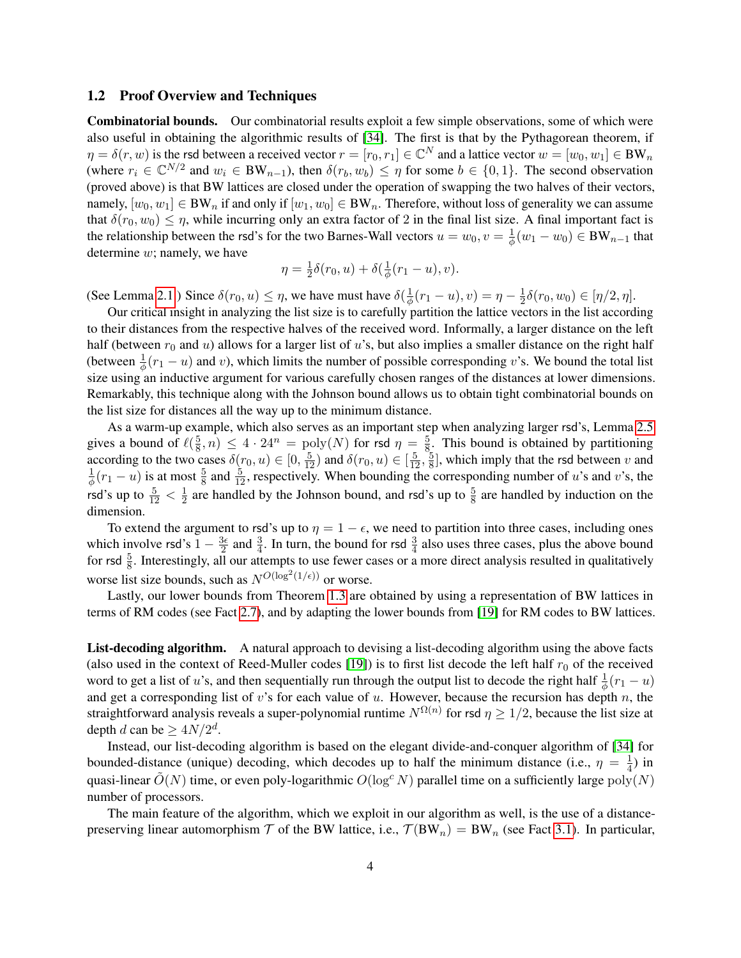#### 1.2 Proof Overview and Techniques

Combinatorial bounds. Our combinatorial results exploit a few simple observations, some of which were also useful in obtaining the algorithmic results of [\[34\]](#page-14-12). The first is that by the Pythagorean theorem, if  $\eta = \delta(r, w)$  is the rsd between a received vector  $r = [r_0, r_1] \in \mathbb{C}^N$  and a lattice vector  $w = [w_0, w_1] \in BW_n$ (where  $r_i \in \mathbb{C}^{N/2}$  and  $w_i \in BW_{n-1}$ ), then  $\delta(r_b, w_b) \leq \eta$  for some  $b \in \{0, 1\}$ . The second observation (proved above) is that BW lattices are closed under the operation of swapping the two halves of their vectors, namely,  $[w_0, w_1] \in BW_n$  if and only if  $[w_1, w_0] \in BW_n$ . Therefore, without loss of generality we can assume that  $\delta(r_0, w_0) \leq \eta$ , while incurring only an extra factor of 2 in the final list size. A final important fact is the relationship between the rsd's for the two Barnes-Wall vectors  $u = w_0, v = \frac{1}{\phi}$  $\frac{1}{\phi}(w_1-w_0)\in \mathrm{BW}_{n-1}$  that determine  $w$ ; namely, we have

$$
\eta = \frac{1}{2}\delta(r_0, u) + \delta(\frac{1}{\phi}(r_1 - u), v).
$$

(See Lemma [2.1.](#page-7-2)) Since  $\delta(r_0, u) \leq \eta$ , we have must have  $\delta(\frac{1}{\phi})$  $\frac{1}{\phi}(r_1-u), v) = \eta - \frac{1}{2}$  $\frac{1}{2}\delta(r_0, w_0) \in [\eta/2, \eta].$ 

Our critical insight in analyzing the list size is to carefully partition the lattice vectors in the list according to their distances from the respective halves of the received word. Informally, a larger distance on the left half (between  $r_0$  and u) allows for a larger list of u's, but also implies a smaller distance on the right half (between  $\frac{1}{\phi}(r_1 - u)$  and v), which limits the number of possible corresponding v's. We bound the total list size using an inductive argument for various carefully chosen ranges of the distances at lower dimensions. Remarkably, this technique along with the Johnson bound allows us to obtain tight combinatorial bounds on the list size for distances all the way up to the minimum distance.

As a warm-up example, which also serves as an important step when analyzing larger rsd's, Lemma [2.5](#page-8-0) gives a bound of  $\ell(\frac{5}{8})$  $(\frac{5}{8}, n) \leq 4 \cdot 24^n = \text{poly}(N)$  for rsd  $\eta = \frac{5}{8}$  $\frac{5}{8}$ . This bound is obtained by partitioning according to the two cases  $\delta(r_0, u) \in [0, \frac{5}{12})$  and  $\delta(r_0, u) \in [\frac{5}{12}, \frac{5}{8}]$  $\frac{5}{8}$ , which imply that the rsd between v and 1  $\frac{1}{\phi}(r_1 - u)$  is at most  $\frac{5}{8}$  and  $\frac{5}{12}$ , respectively. When bounding the corresponding number of u's and v's, the rsd's up to  $\frac{5}{12} < \frac{1}{2}$  $\frac{1}{2}$  are handled by the Johnson bound, and rsd's up to  $\frac{5}{8}$  are handled by induction on the dimension.

To extend the argument to rsd's up to  $\eta = 1 - \epsilon$ , we need to partition into three cases, including ones which involve rsd's  $1 - \frac{3\epsilon}{2}$  $\frac{3\epsilon}{2}$  and  $\frac{3}{4}$ . In turn, the bound for rsd  $\frac{3}{4}$  also uses three cases, plus the above bound for rsd  $\frac{5}{8}$ . Interestingly, all our attempts to use fewer cases or a more direct analysis resulted in qualitatively worse list size bounds, such as  $N^{O(\log^2(1/\epsilon))}$  or worse.

Lastly, our lower bounds from Theorem [1.3](#page-3-1) are obtained by using a representation of BW lattices in terms of RM codes (see Fact [2.7\)](#page-9-0), and by adapting the lower bounds from [\[19\]](#page-13-5) for RM codes to BW lattices.

List-decoding algorithm. A natural approach to devising a list-decoding algorithm using the above facts (also used in the context of Reed-Muller codes [\[19\]](#page-13-5)) is to first list decode the left half  $r_0$  of the received word to get a list of u's, and then sequentially run through the output list to decode the right half  $\frac{1}{\phi}(r_1 - u)$ and get a corresponding list of  $v$ 's for each value of  $u$ . However, because the recursion has depth  $n$ , the straightforward analysis reveals a super-polynomial runtime  $N^{\Omega(n)}$  for rsd  $\eta \geq 1/2$ , because the list size at depth *d* can be  $\geq 4N/2^d$ .

Instead, our list-decoding algorithm is based on the elegant divide-and-conquer algorithm of [\[34\]](#page-14-12) for bounded-distance (unique) decoding, which decodes up to half the minimum distance (i.e.,  $\eta = \frac{1}{4}$  $\frac{1}{4}$ ) in quasi-linear  $\tilde{O}(N)$  time, or even poly-logarithmic  $O(\log^c N)$  parallel time on a sufficiently large poly $(N)$ number of processors.

The main feature of the algorithm, which we exploit in our algorithm as well, is the use of a distancepreserving linear automorphism  $T$  of the BW lattice, i.e.,  $T(BW_n) = BW_n$  (see Fact [3.1\)](#page-10-0). In particular,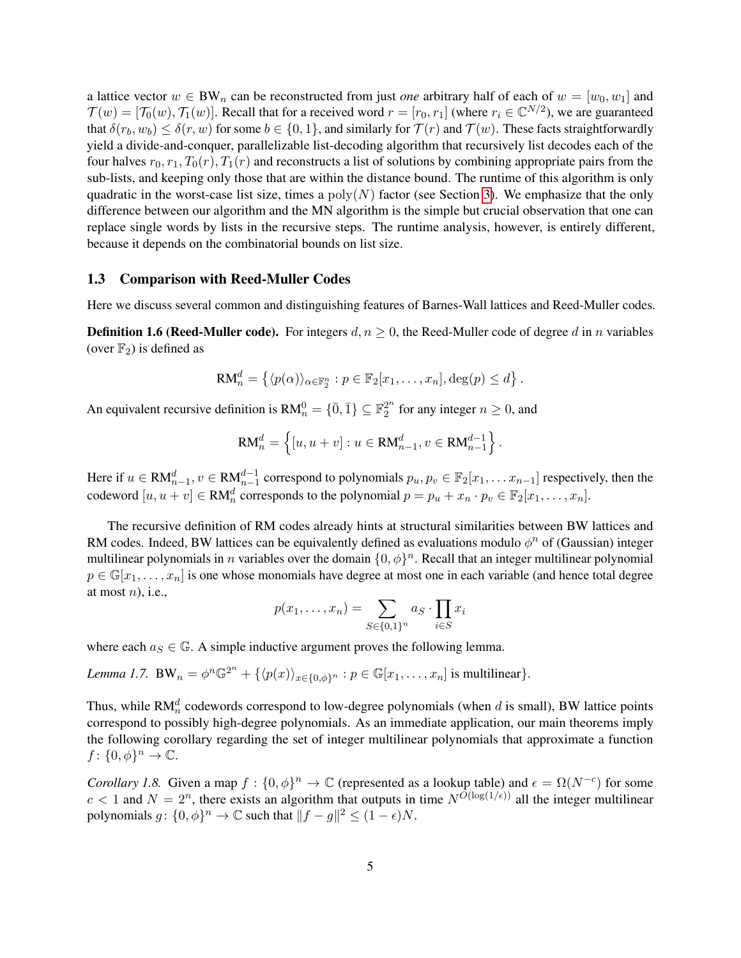a lattice vector  $w \in BW_n$  can be reconstructed from just *one* arbitrary half of each of  $w = [w_0, w_1]$  and  $\mathcal{T}(w) = [\mathcal{T}_0(w), \mathcal{T}_1(w)]$ . Recall that for a received word  $r = [r_0, r_1]$  (where  $r_i \in \mathbb{C}^{N/2}$ ), we are guaranteed that  $\delta(r_b, w_b) \leq \delta(r, w)$  for some  $b \in \{0, 1\}$ , and similarly for  $\mathcal{T}(r)$  and  $\mathcal{T}(w)$ . These facts straightforwardly yield a divide-and-conquer, parallelizable list-decoding algorithm that recursively list decodes each of the four halves  $r_0, r_1, T_0(r), T_1(r)$  and reconstructs a list of solutions by combining appropriate pairs from the sub-lists, and keeping only those that are within the distance bound. The runtime of this algorithm is only quadratic in the worst-case list size, times a  $poly(N)$  factor (see Section [3\)](#page-10-1). We emphasize that the only difference between our algorithm and the MN algorithm is the simple but crucial observation that one can replace single words by lists in the recursive steps. The runtime analysis, however, is entirely different, because it depends on the combinatorial bounds on list size.

#### 1.3 Comparison with Reed-Muller Codes

Here we discuss several common and distinguishing features of Barnes-Wall lattices and Reed-Muller codes.

**Definition 1.6 (Reed-Muller code).** For integers  $d, n \ge 0$ , the Reed-Muller code of degree d in n variables (over  $\mathbb{F}_2$ ) is defined as

$$
RM_n^d = \left\{ \langle p(\alpha) \rangle_{\alpha \in \mathbb{F}_2^n} : p \in \mathbb{F}_2[x_1, \ldots, x_n], \deg(p) \leq d \right\}.
$$

An equivalent recursive definition is  $\text{RM}_n^0 = \{\bar{0}, \bar{1}\} \subseteq \mathbb{F}_2^{2^n}$  $_2^{2^n}$  for any integer  $n \geq 0$ , and

$$
RM_n^d = \{ [u, u + v] : u \in RM_{n-1}^d, v \in RM_{n-1}^{d-1} \}.
$$

Here if  $u \in RM_{n-1}^d$ ,  $v \in RM_{n-1}^{d-1}$  correspond to polynomials  $p_u, p_v \in \mathbb{F}_2[x_1, \ldots x_{n-1}]$  respectively, then the codeword  $[u, u + v] \in RM_n^d$  corresponds to the polynomial  $p = p_u + x_n \cdot p_v \in \mathbb{F}_2[x_1, \dots, x_n]$ .

The recursive definition of RM codes already hints at structural similarities between BW lattices and RM codes. Indeed, BW lattices can be equivalently defined as evaluations modulo  $\phi^n$  of (Gaussian) integer multilinear polynomials in n variables over the domain  $\{0,\phi\}^n$ . Recall that an integer multilinear polynomial  $p \in \mathbb{G}[x_1,\ldots,x_n]$  is one whose monomials have degree at most one in each variable (and hence total degree at most  $n$ ), i.e.,

$$
p(x_1,\ldots,x_n)=\sum_{S\in\{0,1\}^n}a_S\cdot\prod_{i\in S}x_i
$$

where each  $a_S \in \mathbb{G}$ . A simple inductive argument proves the following lemma.

Lemma 1.7. 
$$
\text{BW}_n = \phi^n \mathbb{G}^{2^n} + \{ \langle p(x) \rangle_{x \in \{0, \phi\}^n} : p \in \mathbb{G}[x_1, \dots, x_n] \text{ is multilinear} \}.
$$

Thus, while RM<sup>d</sup> codewords correspond to low-degree polynomials (when d is small), BW lattice points correspond to possibly high-degree polynomials. As an immediate application, our main theorems imply the following corollary regarding the set of integer multilinear polynomials that approximate a function  $f: \{0, \phi\}^n \to \mathbb{C}.$ 

*Corollary 1.8.* Given a map  $f: \{0, \phi\}^n \to \mathbb{C}$  (represented as a lookup table) and  $\epsilon = \Omega(N^{-c})$  for some  $c < 1$  and  $N = 2<sup>n</sup>$ , there exists an algorithm that outputs in time  $N^{O(\log(1/\epsilon))}$  all the integer multilinear polynomials  $g: \{0, \phi\}^n \to \mathbb{C}$  such that  $||f - g||^2 \le (1 - \epsilon)N$ .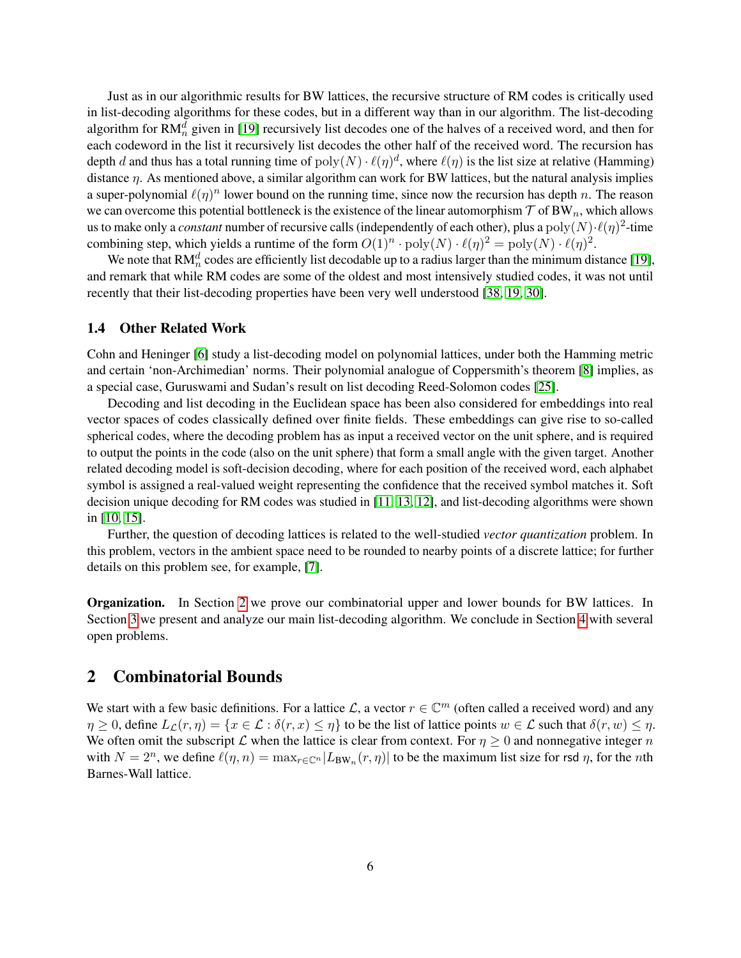Just as in our algorithmic results for BW lattices, the recursive structure of RM codes is critically used in list-decoding algorithms for these codes, but in a different way than in our algorithm. The list-decoding algorithm for RM $_n^d$  given in [\[19\]](#page-13-5) recursively list decodes one of the halves of a received word, and then for each codeword in the list it recursively list decodes the other half of the received word. The recursion has depth d and thus has a total running time of  $poly(N) \cdot \ell(\eta)^d$ , where  $\ell(\eta)$  is the list size at relative (Hamming) distance η. As mentioned above, a similar algorithm can work for BW lattices, but the natural analysis implies a super-polynomial  $\ell(\eta)^n$  lower bound on the running time, since now the recursion has depth n. The reason we can overcome this potential bottleneck is the existence of the linear automorphism  $\tau$  of BW<sub>n</sub>, which allows us to make only a *constant* number of recursive calls (independently of each other), plus a  $poly(N) \cdot \ell(\eta)^2$ -time combining step, which yields a runtime of the form  $O(1)^n \cdot \text{poly}(N) \cdot \ell(\eta)^2 = \text{poly}(N) \cdot \ell(\eta)^2$ .

We note that RM $_n^d$  codes are efficiently list decodable up to a radius larger than the minimum distance [\[19\]](#page-13-5), and remark that while RM codes are some of the oldest and most intensively studied codes, it was not until recently that their list-decoding properties have been very well understood [\[38,](#page-15-13) [19,](#page-13-5) [30\]](#page-14-5).

#### 1.4 Other Related Work

Cohn and Heninger [\[6\]](#page-13-11) study a list-decoding model on polynomial lattices, under both the Hamming metric and certain 'non-Archimedian' norms. Their polynomial analogue of Coppersmith's theorem [\[8\]](#page-13-12) implies, as a special case, Guruswami and Sudan's result on list decoding Reed-Solomon codes [\[25\]](#page-14-1).

Decoding and list decoding in the Euclidean space has been also considered for embeddings into real vector spaces of codes classically defined over finite fields. These embeddings can give rise to so-called spherical codes, where the decoding problem has as input a received vector on the unit sphere, and is required to output the points in the code (also on the unit sphere) that form a small angle with the given target. Another related decoding model is soft-decision decoding, where for each position of the received word, each alphabet symbol is assigned a real-valued weight representing the confidence that the received symbol matches it. Soft decision unique decoding for RM codes was studied in [\[11,](#page-13-13) [13,](#page-13-14) [12\]](#page-13-15), and list-decoding algorithms were shown in [\[10,](#page-13-16) [15\]](#page-13-17).

Further, the question of decoding lattices is related to the well-studied *vector quantization* problem. In this problem, vectors in the ambient space need to be rounded to nearby points of a discrete lattice; for further details on this problem see, for example, [\[7\]](#page-13-7).

**Organization.** In Section [2](#page-6-0) we prove our combinatorial upper and lower bounds for BW lattices. In Section [3](#page-10-1) we present and analyze our main list-decoding algorithm. We conclude in Section [4](#page-12-1) with several open problems.

### <span id="page-6-0"></span>2 Combinatorial Bounds

We start with a few basic definitions. For a lattice L, a vector  $r \in \mathbb{C}^m$  (often called a received word) and any  $\eta \geq 0$ , define  $L_{\mathcal{L}}(r,\eta) = \{x \in \mathcal{L} : \delta(r,x) \leq \eta\}$  to be the list of lattice points  $w \in \mathcal{L}$  such that  $\delta(r, w) \leq \eta$ . We often omit the subscript L when the lattice is clear from context. For  $\eta \geq 0$  and nonnegative integer n with  $N = 2^n$ , we define  $\ell(\eta, n) = \max_{r \in \mathbb{C}^n} |L_{BW_n}(r, \eta)|$  to be the maximum list size for rsd  $\eta$ , for the *n*th Barnes-Wall lattice.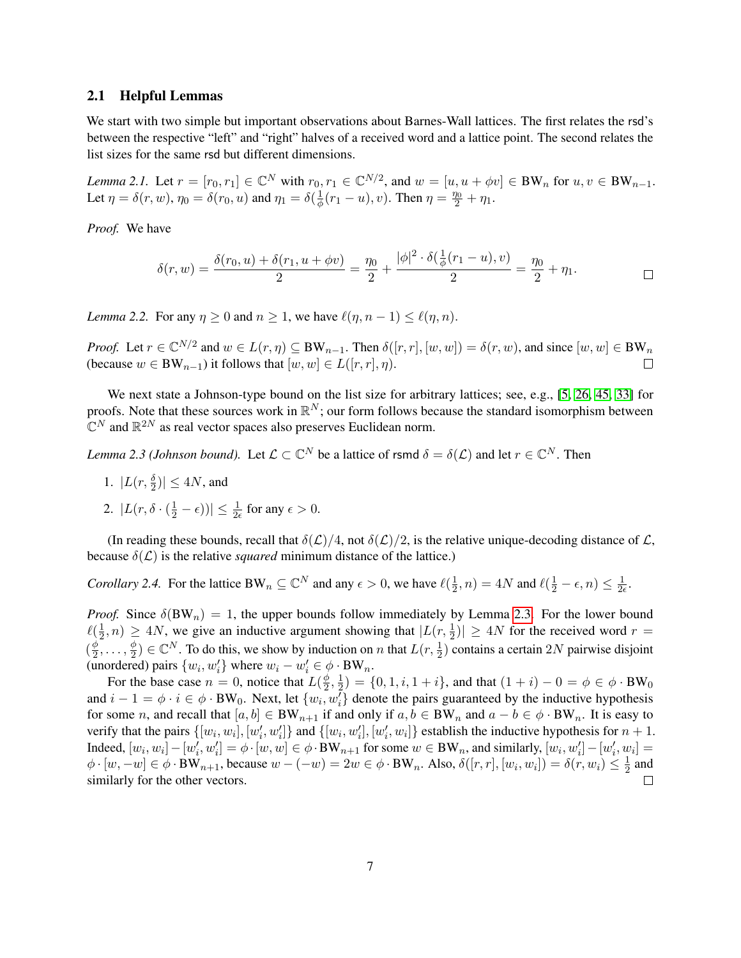#### 2.1 Helpful Lemmas

We start with two simple but important observations about Barnes-Wall lattices. The first relates the rsd's between the respective "left" and "right" halves of a received word and a lattice point. The second relates the list sizes for the same rsd but different dimensions.

<span id="page-7-2"></span>*Lemma 2.1.* Let  $r = [r_0, r_1] \in \mathbb{C}^N$  with  $r_0, r_1 \in \mathbb{C}^{N/2}$ , and  $w = [u, u + \phi v] \in BW_n$  for  $u, v \in BW_{n-1}$ . Let  $\eta = \delta(r, w)$ ,  $\eta_0 = \delta(r_0, u)$  and  $\eta_1 = \delta(\frac{1}{\phi})$  $\frac{1}{\phi}(r_1 - u), v$ ). Then  $\eta = \frac{\eta_0}{2} + \eta_1$ .

*Proof.* We have

$$
\delta(r, w) = \frac{\delta(r_0, u) + \delta(r_1, u + \phi v)}{2} = \frac{\eta_0}{2} + \frac{|\phi|^2 \cdot \delta(\frac{1}{\phi}(r_1 - u), v)}{2} = \frac{\eta_0}{2} + \eta_1.
$$

*Lemma 2.2.* For any  $\eta \geq 0$  and  $n \geq 1$ , we have  $\ell(\eta, n-1) \leq \ell(\eta, n)$ .

*Proof.* Let  $r \in \mathbb{C}^{N/2}$  and  $w \in L(r, \eta) \subseteq BW_{n-1}$ . Then  $\delta([r, r], [w, w]) = \delta(r, w)$ , and since  $[w, w] \in BW_n$ (because  $w \in BW_{n-1}$ ) it follows that  $[w, w] \in L([r, r], \eta)$ .  $\Box$ 

We next state a Johnson-type bound on the list size for arbitrary lattices; see, e.g., [\[5,](#page-13-10) [26,](#page-14-13) [45,](#page-15-12) [33\]](#page-14-14) for proofs. Note that these sources work in  $\mathbb{R}^N$ ; our form follows because the standard isomorphism between  $\mathbb{C}^N$  and  $\mathbb{R}^{2N}$  as real vector spaces also preserves Euclidean norm.

<span id="page-7-0"></span>*Lemma 2.3 (Johnson bound).* Let  $\mathcal{L} \subset \mathbb{C}^N$  be a lattice of rsmd  $\delta = \delta(\mathcal{L})$  and let  $r \in \mathbb{C}^N$ . Then

- 1.  $|L(r, \frac{\delta}{2})| \le 4N$ , and
- 2.  $|L(r, \delta \cdot (\frac{1}{2} \epsilon))| \leq \frac{1}{2\epsilon}$  for any  $\epsilon > 0$ .

(In reading these bounds, recall that  $\delta(\mathcal{L})/4$ , not  $\delta(\mathcal{L})/2$ , is the relative unique-decoding distance of  $\mathcal{L}$ , because  $\delta(\mathcal{L})$  is the relative *squared* minimum distance of the lattice.)

<span id="page-7-1"></span>*Corollary 2.4.* For the lattice BW<sub>n</sub>  $\subseteq \mathbb{C}^N$  and any  $\epsilon > 0$ , we have  $\ell(\frac{1}{2})$  $(\frac{1}{2}, n) = 4N$  and  $\ell(\frac{1}{2} - \epsilon, n) \leq \frac{1}{2\epsilon}$  $\frac{1}{2\epsilon}$ .

*Proof.* Since  $\delta(BW_n) = 1$ , the upper bounds follow immediately by Lemma [2.3.](#page-7-0) For the lower bound  $\ell(\frac{1}{2})$  $\frac{1}{2}$ ,  $n) \ge 4N$ , we give an inductive argument showing that  $|L(r, \frac{1}{2})| \ge 4N$  for the received word  $r =$  $(\frac{\phi}{2})$  $\frac{\phi}{2}, \ldots, \frac{\phi}{2}$  $\frac{\phi}{2}) \in \mathbb{C}^N$ . To do this, we show by induction on *n* that  $L(r, \frac{1}{2})$  contains a certain 2N pairwise disjoint (unordered) pairs  $\{w_i, w'_i\}$  where  $w_i - w'_i \in \phi \cdot BW_n$ .

For the base case  $n = 0$ , notice that  $L(\frac{\phi}{2})$  $\frac{\phi}{2}, \frac{1}{2}$  $\frac{1}{2}$ ) = {0, 1, *i*, 1 + *i*}, and that  $(1 + i) - 0 = \phi \in \phi \cdot BW_0$ and  $i-1 = \phi \cdot i \in \phi \cdot BW_0$ . Next, let  $\{w_i, w_i\}$  denote the pairs guaranteed by the inductive hypothesis for some n, and recall that  $[a, b] \in BW_{n+1}$  if and only if  $a, b \in BW_n$  and  $a - b \in \phi \cdot BW_n$ . It is easy to verify that the pairs  $\{[w_i, w_i], [w'_i, w'_i]\}$  and  $\{[w_i, w'_i], [w'_i, w_i]\}$  establish the inductive hypothesis for  $n + 1$ . Indeed,  $[w_i, w_i] - [w'_i, w'_i] = \phi \cdot [w, w] \in \phi \cdot BW_{n+1}$  for some  $w \in BW_n$ , and similarly,  $[w_i, w'_i] - [w'_i, w_i] =$  $\phi \cdot [w, -w] \in \phi \cdot BW_{n+1}$ , because  $w - (-w) = 2w \in \phi \cdot BW_n$ . Also,  $\delta([r, r], [w_i, w_i]) = \delta(r, w_i) \leq \frac{1}{2}$  $\frac{1}{2}$  and similarly for the other vectors. П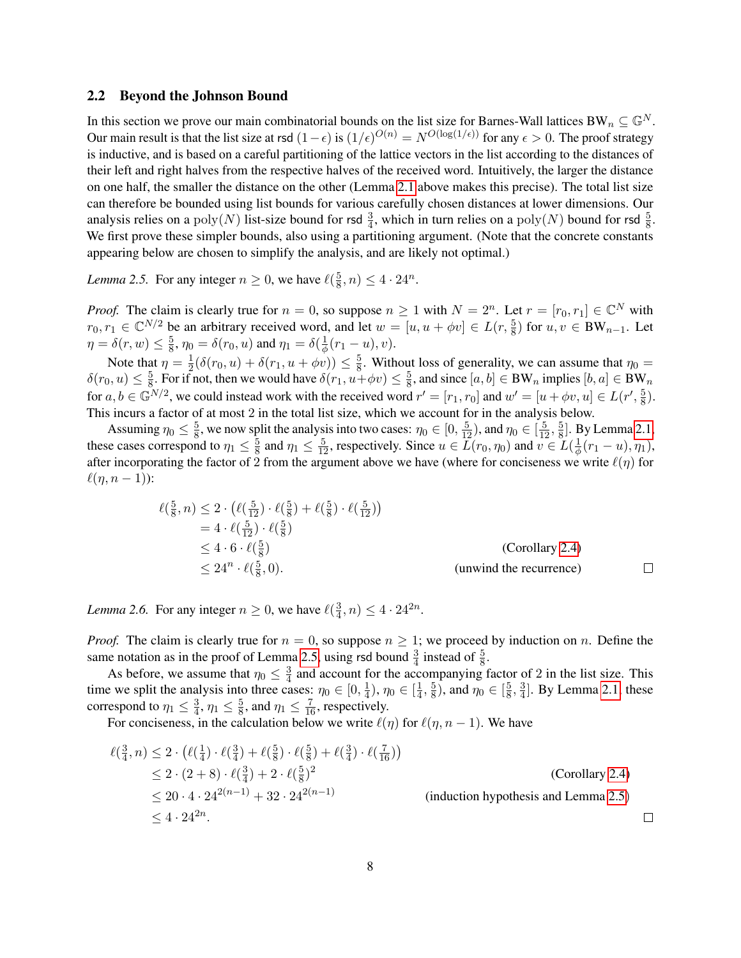#### 2.2 Beyond the Johnson Bound

In this section we prove our main combinatorial bounds on the list size for Barnes-Wall lattices BW<sub>n</sub>  $\subseteq \mathbb{G}^N$ . Our main result is that the list size at rsd  $(1-\epsilon)$  is  $(1/\epsilon)^{O(n)} = N^{O(\log(1/\epsilon))}$  for any  $\epsilon > 0$ . The proof strategy is inductive, and is based on a careful partitioning of the lattice vectors in the list according to the distances of their left and right halves from the respective halves of the received word. Intuitively, the larger the distance on one half, the smaller the distance on the other (Lemma [2.1](#page-7-2) above makes this precise). The total list size can therefore be bounded using list bounds for various carefully chosen distances at lower dimensions. Our analysis relies on a  $poly(N)$  list-size bound for rsd  $\frac{3}{4}$ , which in turn relies on a  $poly(N)$  bound for rsd  $\frac{5}{8}$ . We first prove these simpler bounds, also using a partitioning argument. (Note that the concrete constants appearing below are chosen to simplify the analysis, and are likely not optimal.)

<span id="page-8-0"></span>*Lemma 2.5.* For any integer  $n \geq 0$ , we have  $\ell(\frac{5}{8})$  $(\frac{5}{8}, n) \leq 4 \cdot 24^{n}.$ 

*Proof.* The claim is clearly true for  $n = 0$ , so suppose  $n \ge 1$  with  $N = 2^n$ . Let  $r = [r_0, r_1] \in \mathbb{C}^N$  with  $r_0, r_1 \in \mathbb{C}^{N/2}$  be an arbitrary received word, and let  $w = [u, u + \phi v] \in L(r, \frac{5}{8})$  for  $u, v \in BW_{n-1}$ . Let  $\eta = \delta(r, w) \leq \frac{5}{8}$  $\frac{5}{8}$ ,  $\eta_0 = \delta(r_0, u)$  and  $\eta_1 = \delta(\frac{1}{\phi})$  $rac{1}{\phi}(r_1-u),v).$ 

Note that  $\eta = \frac{1}{2}$  $\frac{1}{2}(\delta(r_0, u) + \delta(r_1, u + \phi v)) \leq \frac{5}{8}$  $\frac{5}{8}$ . Without loss of generality, we can assume that  $\eta_0 =$  $\delta(r_0, u) \leq \frac{5}{8}$  $\frac{5}{8}$ . For if not, then we would have  $\delta(r_1, u + \phi v) \leq \frac{5}{8}$  $\frac{5}{8}$ , and since  $[a, b] \in BW_n$  implies  $[b, a] \in BW_n$ for  $a, b \in \mathbb{G}^{N/2}$ , we could instead work with the received word  $r' = [r_1, r_0]$  and  $w' = [u + \phi v, u] \in L(r', \frac{5}{8})$  $\frac{5}{8}$ . This incurs a factor of at most 2 in the total list size, which we account for in the analysis below.

Assuming  $\eta_0 \leq \frac{5}{8}$  $\frac{5}{8}$ , we now split the analysis into two cases:  $\eta_0 \in [0, \frac{5}{12})$ , and  $\eta_0 \in [\frac{5}{12}, \frac{5}{8}]$  $\frac{5}{8}$ . By Lemma [2.1,](#page-7-2) these cases correspond to  $\eta_1 \leq \frac{5}{8}$  $\frac{5}{8}$  and  $\eta_1 \leq \frac{5}{12}$ , respectively. Since  $u \in \overline{L}(r_0, \eta_0)$  and  $v \in \overline{L}(\frac{1}{\phi})$  $\frac{1}{\phi}(r_1-u),\eta_1),$ after incorporating the factor of 2 from the argument above we have (where for conciseness we write  $\ell(\eta)$  for  $\ell(\eta, n - 1)$ :

$$
\ell(\frac{5}{8}, n) \le 2 \cdot \left(\ell(\frac{5}{12}) \cdot \ell(\frac{5}{8}) + \ell(\frac{5}{8}) \cdot \ell(\frac{5}{12})\right)
$$
  
=  $4 \cdot \ell(\frac{5}{12}) \cdot \ell(\frac{5}{8})$   
 $\le 4 \cdot 6 \cdot \ell(\frac{5}{8})$  (Corollary 2.4)  
 $\le 24^n \cdot \ell(\frac{5}{8}, 0).$  (unwind the recurrence)

<span id="page-8-1"></span>*Lemma 2.6.* For any integer  $n \geq 0$ , we have  $\ell(\frac{3}{4})$  $(\frac{3}{4}, n) \leq 4 \cdot 24^{2n}.$ 

*Proof.* The claim is clearly true for  $n = 0$ , so suppose  $n \geq 1$ ; we proceed by induction on n. Define the same notation as in the proof of Lemma [2.5,](#page-8-0) using rsd bound  $\frac{3}{4}$  instead of  $\frac{5}{8}$ .

As before, we assume that  $\eta_0 \leq \frac{3}{4}$  $\frac{3}{4}$  and account for the accompanying factor of 2 in the list size. This time we split the analysis into three cases:  $\eta_0 \in [0, \frac{1}{4}]$  $\frac{1}{4}$ ),  $\eta_0 \in [\frac{1}{4}]$  $\frac{1}{4}$ ,  $\frac{5}{8}$  $(\frac{5}{8})$ , and  $\eta_0 \in [\frac{5}{8}]$  $\frac{5}{8}, \frac{3}{4}$  $\frac{3}{4}$ . By Lemma [2.1,](#page-7-2) these correspond to  $\eta_1 \leq \frac{3}{4}$  $\frac{3}{4}$ ,  $\eta_1 \leq \frac{5}{8}$  $\frac{5}{8}$ , and  $\eta_1 \leq \frac{7}{16}$ , respectively.

For conciseness, in the calculation below we write  $\ell(\eta)$  for  $\ell(\eta, n - 1)$ . We have

$$
\ell(\frac{3}{4}, n) \le 2 \cdot (\ell(\frac{1}{4}) \cdot \ell(\frac{3}{4}) + \ell(\frac{5}{8}) \cdot \ell(\frac{5}{8}) + \ell(\frac{3}{4}) \cdot \ell(\frac{7}{16})
$$
\n
$$
\le 2 \cdot (2 + 8) \cdot \ell(\frac{3}{4}) + 2 \cdot \ell(\frac{5}{8})^2
$$
\n
$$
\le 20 \cdot 4 \cdot 24^{2(n-1)} + 32 \cdot 24^{2(n-1)}
$$
\n(induction hypothesis and Lemma 2.5)\n
$$
\le 4 \cdot 24^{2n}.
$$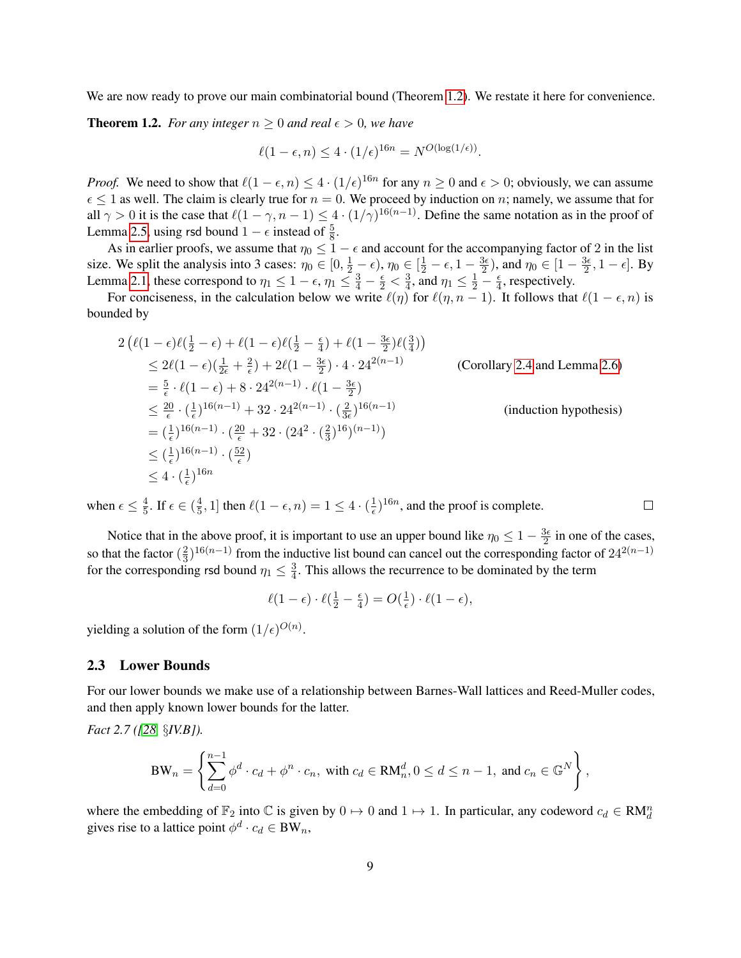We are now ready to prove our main combinatorial bound (Theorem [1.2\)](#page-3-0). We restate it here for convenience.

**Theorem 1.2.** *For any integer*  $n \geq 0$  *and real*  $\epsilon > 0$ *, we have* 

$$
\ell(1 - \epsilon, n) \le 4 \cdot (1/\epsilon)^{16n} = N^{O(\log(1/\epsilon))}.
$$

*Proof.* We need to show that  $\ell(1 - \epsilon, n) \leq 4 \cdot (1/\epsilon)^{16n}$  for any  $n \geq 0$  and  $\epsilon > 0$ ; obviously, we can assume  $\epsilon \leq 1$  as well. The claim is clearly true for  $n = 0$ . We proceed by induction on n; namely, we assume that for all  $\gamma > 0$  it is the case that  $\ell(1 - \gamma, n - 1) \leq 4 \cdot (1/\gamma)^{16(n-1)}$ . Define the same notation as in the proof of Lemma [2.5,](#page-8-0) using rsd bound  $1 - \epsilon$  instead of  $\frac{5}{8}$ .

As in earlier proofs, we assume that  $\eta_0 \leq 1 - \epsilon$  and account for the accompanying factor of 2 in the list size. We split the analysis into 3 cases:  $\eta_0 \in [0, \frac{1}{2} - \epsilon)$ ,  $\eta_0 \in [\frac{1}{2} - \epsilon, 1 - \frac{3\epsilon}{2}]$  $\frac{3\epsilon}{2}$ ), and  $\eta_0 \in [1 - \frac{3\epsilon}{2}]$  $\frac{3\epsilon}{2}, 1-\epsilon]$ . By Lemma [2.1,](#page-7-2) these correspond to  $\eta_1 \leq 1 - \epsilon$ ,  $\eta_1 \leq \frac{3}{4} - \frac{\epsilon}{2} < \frac{3}{4}$  $\frac{3}{4}$ , and  $\eta_1 \leq \frac{1}{2} - \frac{\epsilon}{4}$  $\frac{\epsilon}{4}$ , respectively.

For conciseness, in the calculation below we write  $\ell(\eta)$  for  $\ell(\eta, n - 1)$ . It follows that  $\ell(1 - \epsilon, n)$  is bounded by

$$
2\left(\ell(1-\epsilon)\ell(\frac{1}{2}-\epsilon) + \ell(1-\epsilon)\ell(\frac{1}{2}-\frac{\epsilon}{4}) + \ell(1-\frac{3\epsilon}{2})\ell(\frac{3}{4})\right)
$$
  
\n
$$
\leq 2\ell(1-\epsilon)(\frac{1}{2\epsilon}+\frac{2}{\epsilon}) + 2\ell(1-\frac{3\epsilon}{2}) \cdot 4 \cdot 24^{2(n-1)}
$$
 (Corollary 2.4 and Lemma 2.6)  
\n
$$
= \frac{5}{\epsilon} \cdot \ell(1-\epsilon) + 8 \cdot 24^{2(n-1)} \cdot \ell(1-\frac{3\epsilon}{2})
$$
  
\n
$$
\leq \frac{20}{\epsilon} \cdot (\frac{1}{\epsilon})^{16(n-1)} + 32 \cdot 24^{2(n-1)} \cdot (\frac{2}{3\epsilon})^{16(n-1)}
$$
 (induction hypothesis)  
\n
$$
= (\frac{1}{\epsilon})^{16(n-1)} \cdot (\frac{20}{\epsilon} + 32 \cdot (24^2 \cdot (\frac{2}{3})^{16})^{(n-1)})
$$
  
\n
$$
\leq (\frac{1}{\epsilon})^{16(n-1)} \cdot (\frac{52}{\epsilon})
$$
  
\n
$$
\leq 4 \cdot (\frac{1}{\epsilon})^{16n}
$$

when  $\epsilon \leq \frac{4}{5}$  $\frac{4}{5}$ . If  $\epsilon \in (\frac{4}{5}$  $(\frac{4}{5}, 1]$  then  $\ell(1 - \epsilon, n) = 1 \leq 4 \cdot (\frac{1}{\epsilon})$  $(\frac{1}{\epsilon})^{16n}$ , and the proof is complete.

Notice that in the above proof, it is important to use an upper bound like  $\eta_0 \leq 1 - \frac{3\epsilon}{2}$  $\frac{3\epsilon}{2}$  in one of the cases, so that the factor  $(\frac{2}{3})$  $\frac{2}{3}$ )<sup>16(n–1)</sup> from the inductive list bound can cancel out the corresponding factor of 24<sup>2(n–1)</sup> for the corresponding rsd bound  $\eta_1 \leq \frac{3}{4}$  $\frac{3}{4}$ . This allows the recurrence to be dominated by the term

 $\Box$ 

$$
\ell(1-\epsilon)\cdot \ell(\tfrac{1}{2}-\tfrac{\epsilon}{4})=O(\tfrac{1}{\epsilon})\cdot \ell(1-\epsilon),
$$

yielding a solution of the form  $(1/\epsilon)^{O(n)}$ .

#### 2.3 Lower Bounds

For our lower bounds we make use of a relationship between Barnes-Wall lattices and Reed-Muller codes, and then apply known lower bounds for the latter.

<span id="page-9-0"></span>*Fact 2.7 ([\[28,](#page-14-9)* §*IV.B]).*

$$
BW_n = \left\{ \sum_{d=0}^{n-1} \phi^d \cdot c_d + \phi^n \cdot c_n, \text{ with } c_d \in RM_n^d, 0 \le d \le n-1, \text{ and } c_n \in \mathbb{G}^N \right\},\
$$

<span id="page-9-1"></span>where the embedding of  $\mathbb{F}_2$  into  $\mathbb C$  is given by  $0 \mapsto 0$  and  $1 \mapsto 1$ . In particular, any codeword  $c_d \in RM_d^n$ gives rise to a lattice point  $\phi^d \cdot c_d \in BW_n$ ,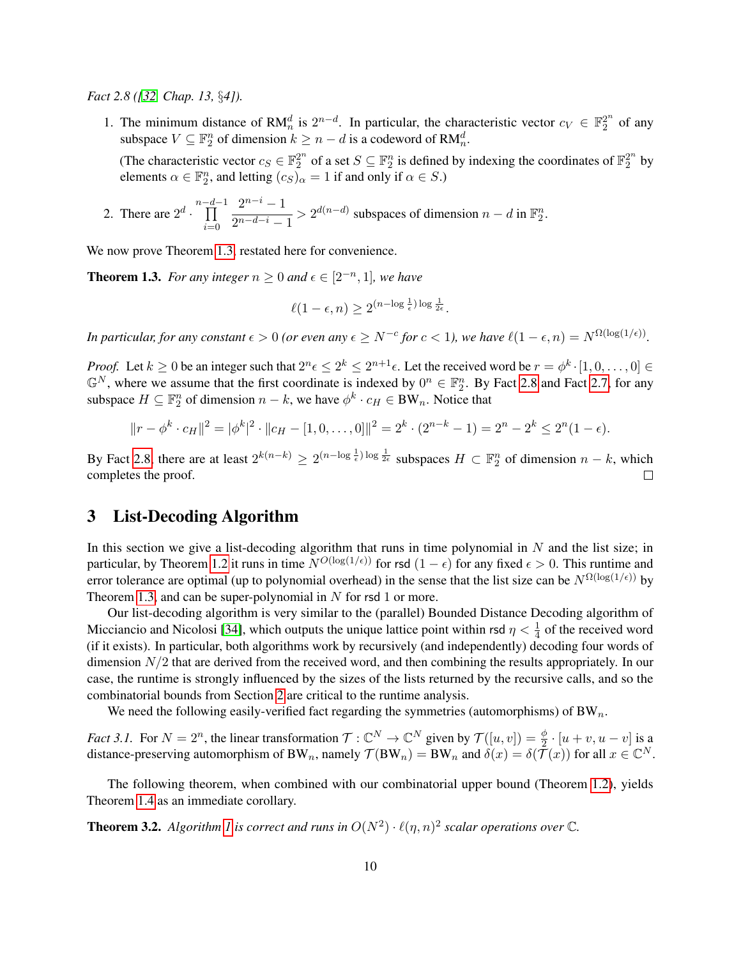*Fact 2.8 ([\[32,](#page-14-15) Chap. 13,* §*4]).*

1. The minimum distance of RM<sup>d</sup><sub>n</sub> is  $2^{n-d}$ . In particular, the characteristic vector  $c_V \in \mathbb{F}_2^{2^n}$  $2^n$  of any subspace  $V \subseteq \mathbb{F}_2^n$  of dimension  $k \geq n - d$  is a codeword of  $\mathsf{RM}_n^d$ .

(The characteristic vector  $c_S \in \mathbb{F}_2^{2^n}$  $2^n$  of a set  $S \subseteq \mathbb{F}_2^n$  is defined by indexing the coordinates of  $\mathbb{F}_2^{2^n}$  $2^{2n}$  by elements  $\alpha \in \mathbb{F}_2^n$ , and letting  $(c_S)_{\alpha} = 1$  if and only if  $\alpha \in S$ .)

2. There are  $2^d \cdot \prod^{n-d-1}$  $i=0$  $2^{n-i}-1$  $\frac{2}{2^{n-d-i}-1}$  >  $2^{d(n-d)}$  subspaces of dimension  $n-d$  in  $\mathbb{F}_2^n$ .

We now prove Theorem [1.3,](#page-3-1) restated here for convenience.

**Theorem 1.3.** For any integer  $n \geq 0$  and  $\epsilon \in [2^{-n}, 1]$ , we have

$$
\ell(1-\epsilon,n) \ge 2^{(n-\log\frac{1}{\epsilon})\log\frac{1}{2\epsilon}}.
$$

*In particular, for any constant*  $\epsilon > 0$  (or even any  $\epsilon \ge N^{-c}$  for  $c < 1$ ), we have  $\ell(1 - \epsilon, n) = N^{\Omega(\log(1/\epsilon))}$ .

*Proof.* Let  $k \ge 0$  be an integer such that  $2^n \epsilon \le 2^k \le 2^{n+1} \epsilon$ . Let the received word be  $r = \phi^k \cdot [1, 0, \dots, 0] \in$  $\mathbb{G}^N$ , where we assume that the first coordinate is indexed by  $0^n \in \mathbb{F}_2^n$ . By Fact [2.8](#page-9-1) and Fact [2.7,](#page-9-0) for any subspace  $H \subseteq \mathbb{F}_2^n$  of dimension  $n - k$ , we have  $\phi^k \cdot c_H \in BW_n$ . Notice that

$$
||r - \phi^k \cdot c_H||^2 = |\phi^k|^2 \cdot ||c_H - [1, 0, \dots, 0]||^2 = 2^k \cdot (2^{n-k} - 1) = 2^n - 2^k \le 2^n (1 - \epsilon).
$$

By Fact [2.8,](#page-9-1) there are at least  $2^{k(n-k)} \ge 2^{(n-\log\frac{1}{\epsilon})\log\frac{1}{2\epsilon}}$  subspaces  $H \subset \mathbb{F}_2^n$  of dimension  $n-k$ , which completes the proof.

### <span id="page-10-1"></span>3 List-Decoding Algorithm

In this section we give a list-decoding algorithm that runs in time polynomial in  $N$  and the list size; in particular, by Theorem [1.2](#page-3-0) it runs in time  $N^{O(\log(1/\epsilon))}$  for rsd  $(1 - \epsilon)$  for any fixed  $\epsilon > 0$ . This runtime and error tolerance are optimal (up to polynomial overhead) in the sense that the list size can be  $N^{\Omega(\log(1/\epsilon))}$  by Theorem [1.3,](#page-3-1) and can be super-polynomial in  $N$  for rsd 1 or more.

Our list-decoding algorithm is very similar to the (parallel) Bounded Distance Decoding algorithm of Micciancio and Nicolosi [\[34\]](#page-14-12), which outputs the unique lattice point within rsd  $\eta < \frac{1}{4}$  of the received word (if it exists). In particular, both algorithms work by recursively (and independently) decoding four words of dimension  $N/2$  that are derived from the received word, and then combining the results appropriately. In our case, the runtime is strongly influenced by the sizes of the lists returned by the recursive calls, and so the combinatorial bounds from Section [2](#page-6-0) are critical to the runtime analysis.

We need the following easily-verified fact regarding the symmetries (automorphisms) of  $BW_n$ .

<span id="page-10-0"></span>*Fact 3.1.* For  $N = 2^n$ , the linear transformation  $\mathcal{T} : \mathbb{C}^N \to \mathbb{C}^N$  given by  $\mathcal{T}([u, v]) = \frac{\phi}{2} \cdot [u + v, u - v]$  is a distance-preserving automorphism of BW<sub>n</sub>, namely  $\mathcal{T}(\text{BW}_n) = \text{BW}_n$  and  $\delta(x) = \delta(\mathcal{T}(x))$  for all  $x \in \mathbb{C}^N$ .

The following theorem, when combined with our combinatorial upper bound (Theorem [1.2\)](#page-3-0), yields Theorem [1.4](#page-3-3) as an immediate corollary.

<span id="page-10-2"></span>**Theorem 3.2.** Algorithm [1](#page-11-0) is correct and runs in  $O(N^2) \cdot \ell(\eta, n)^2$  scalar operations over  $\mathbb{C}$ .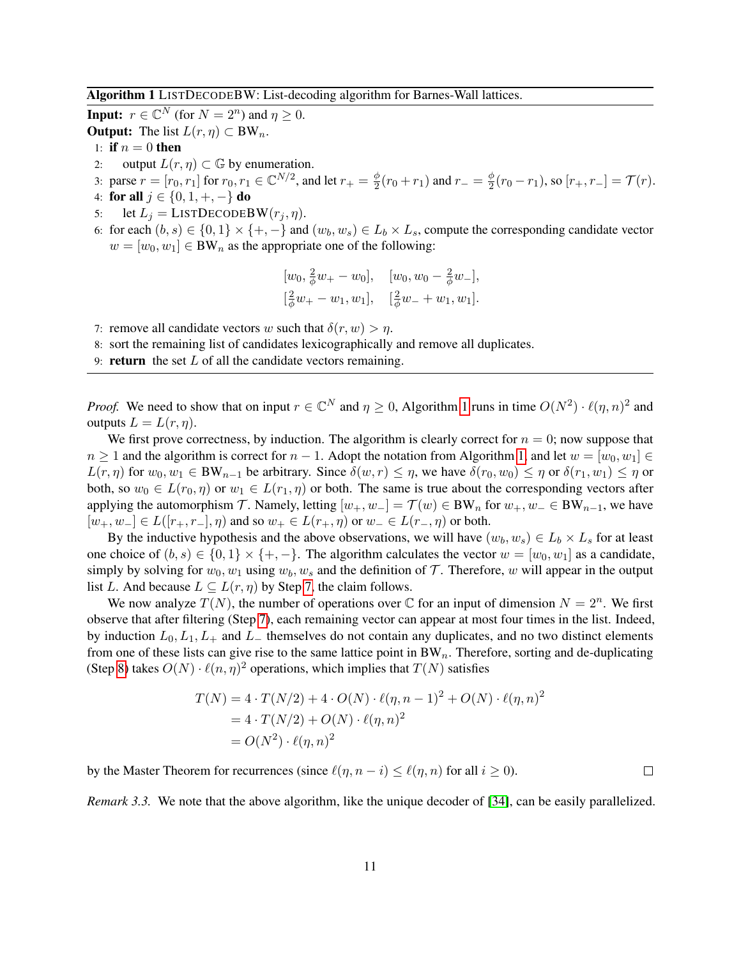Algorithm 1 LISTDECODEBW: List-decoding algorithm for Barnes-Wall lattices.

**Input:**  $r \in \mathbb{C}^N$  (for  $N = 2^n$ ) and  $\eta \ge 0$ .

**Output:** The list  $L(r, \eta) \subset BW_n$ .

- 1: if  $n = 0$  then
- 2: output  $L(r, \eta) \subset \mathbb{G}$  by enumeration.

3: parse  $r = [r_0, r_1]$  for  $r_0, r_1 \in \mathbb{C}^{N/2}$ , and let  $r_+ = \frac{\phi}{2}$  $\frac{\phi}{2}(r_0+r_1)$  and  $r_-=\frac{\phi}{2}$  $\frac{\phi}{2}(r_0-r_1)$ , so  $[r_+,r_-]=\mathcal{T}(r)$ . 4: for all  $j \in \{0, 1, +, -\}$  do

- 5: let  $L_j =$  LISTDECODEBW $(r_j, \eta)$ .
- <span id="page-11-3"></span>6: for each  $(b, s) \in \{0, 1\} \times \{+, -\}$  and  $(w_b, w_s) \in L_b \times L_s$ , compute the corresponding candidate vector  $w = [w_0, w_1] \in BW_n$  as the appropriate one of the following:

$$
[w_0, \frac{2}{\phi}w_+ - w_0], \quad [w_0, w_0 - \frac{2}{\phi}w_-\],
$$
  

$$
[\frac{2}{\phi}w_+ - w_1, w_1], \quad [\frac{2}{\phi}w_- + w_1, w_1].
$$

<span id="page-11-1"></span>7: remove all candidate vectors w such that  $\delta(r, w) > \eta$ .

<span id="page-11-2"></span>8: sort the remaining list of candidates lexicographically and remove all duplicates.

<span id="page-11-0"></span>9: **return** the set  $L$  of all the candidate vectors remaining.

*Proof.* We need to show that on input  $r \in \mathbb{C}^N$  and  $\eta \ge 0$ , Algorithm [1](#page-11-0) runs in time  $O(N^2) \cdot \ell(\eta, n)^2$  and outputs  $L = L(r, \eta)$ .

We first prove correctness, by induction. The algorithm is clearly correct for  $n = 0$ ; now suppose that  $n \geq 1$  and the algorithm is correct for  $n-1$ . Adopt the notation from Algorithm [1,](#page-11-0) and let  $w = [w_0, w_1] \in$  $L(r, \eta)$  for  $w_0, w_1 \in BW_{n-1}$  be arbitrary. Since  $\delta(w, r) \leq \eta$ , we have  $\delta(r_0, w_0) \leq \eta$  or  $\delta(r_1, w_1) \leq \eta$  or both, so  $w_0 \in L(r_0, \eta)$  or  $w_1 \in L(r_1, \eta)$  or both. The same is true about the corresponding vectors after applying the automorphism T. Namely, letting  $[w_+, w_-] = T(w) \in BW_n$  for  $w_+, w_- \in BW_{n-1}$ , we have  $[w_+, w_-] \in L([r_+, r_-], \eta)$  and so  $w_+ \in L(r_+, \eta)$  or  $w_- \in L(r_-, \eta)$  or both.

By the inductive hypothesis and the above observations, we will have  $(w_b, w_s) \in L_b \times L_s$  for at least one choice of  $(b, s) \in \{0, 1\} \times \{+, -\}.$  The algorithm calculates the vector  $w = [w_0, w_1]$  as a candidate, simply by solving for  $w_0, w_1$  using  $w_b, w_s$  and the definition of T. Therefore, w will appear in the output list L. And because  $L \subseteq L(r, \eta)$  by Step [7,](#page-11-1) the claim follows.

We now analyze  $T(N)$ , the number of operations over  $\mathbb C$  for an input of dimension  $N = 2^n$ . We first observe that after filtering (Step [7\)](#page-11-1), each remaining vector can appear at most four times in the list. Indeed, by induction  $L_0, L_1, L_+$  and  $L_-$  themselves do not contain any duplicates, and no two distinct elements from one of these lists can give rise to the same lattice point in  $BW_n$ . Therefore, sorting and de-duplicating (Step [8\)](#page-11-2) takes  $O(N) \cdot \ell(n, \eta)^2$  operations, which implies that  $T(N)$  satisfies

$$
T(N) = 4 \cdot T(N/2) + 4 \cdot O(N) \cdot \ell(\eta, n-1)^2 + O(N) \cdot \ell(\eta, n)^2
$$
  
= 4 \cdot T(N/2) + O(N) \cdot \ell(\eta, n)^2  
= O(N^2) \cdot \ell(\eta, n)^2

by the Master Theorem for recurrences (since  $\ell(\eta, n - i) \leq \ell(\eta, n)$  for all  $i \geq 0$ ).  $\Box$ 

*Remark 3.3.* We note that the above algorithm, like the unique decoder of [\[34\]](#page-14-12), can be easily parallelized.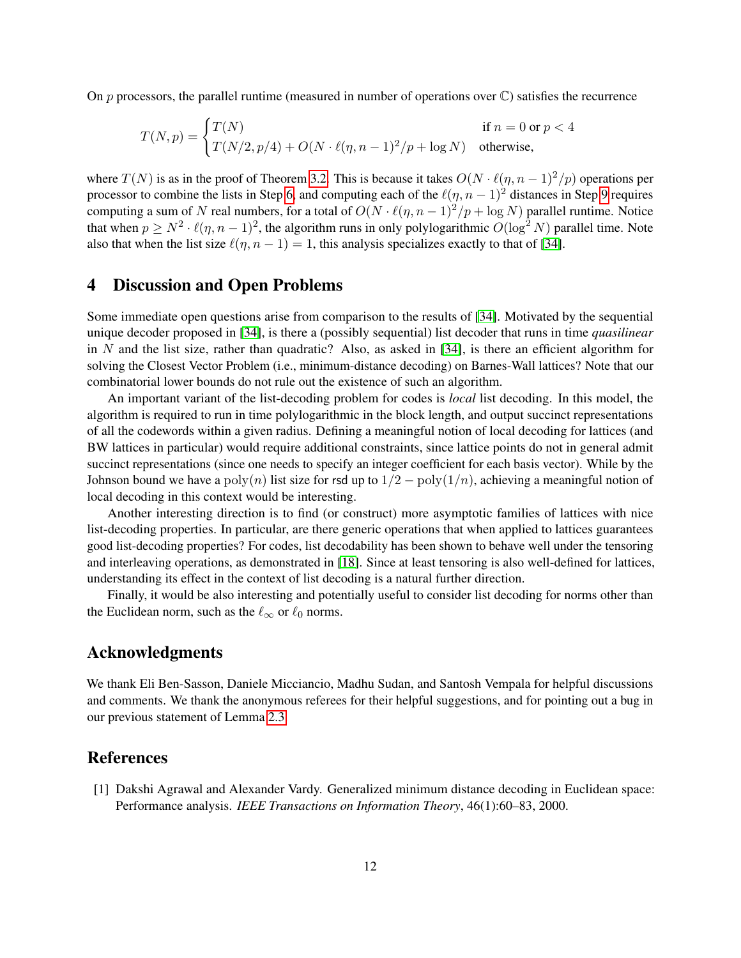On  $p$  processors, the parallel runtime (measured in number of operations over  $\mathbb{C}$ ) satisfies the recurrence

$$
T(N, p) = \begin{cases} T(N) & \text{if } n = 0 \text{ or } p < 4\\ T(N/2, p/4) + O(N \cdot \ell(\eta, n-1)^2/p + \log N) & \text{otherwise,} \end{cases}
$$

where  $T(N)$  is as in the proof of Theorem [3.2.](#page-10-2) This is because it takes  $O(N \cdot \ell(n, n - 1)^2/p)$  operations per processor to combine the lists in Step [6,](#page-11-3) and computing each of the  $\ell(\eta, n - 1)^2$  distances in Step [9](#page-11-0) requires computing a sum of N real numbers, for a total of  $O(N \cdot \ell(\eta, n - 1)^2/p + \log N)$  parallel runtime. Notice that when  $p \ge N^2 \cdot \ell(\eta, n-1)^2$ , the algorithm runs in only polylogarithmic  $O(\log^2 N)$  parallel time. Note also that when the list size  $\ell(\eta, n - 1) = 1$ , this analysis specializes exactly to that of [\[34\]](#page-14-12).

### <span id="page-12-1"></span>4 Discussion and Open Problems

Some immediate open questions arise from comparison to the results of [\[34\]](#page-14-12). Motivated by the sequential unique decoder proposed in [\[34\]](#page-14-12), is there a (possibly sequential) list decoder that runs in time *quasilinear* in N and the list size, rather than quadratic? Also, as asked in  $[34]$ , is there an efficient algorithm for solving the Closest Vector Problem (i.e., minimum-distance decoding) on Barnes-Wall lattices? Note that our combinatorial lower bounds do not rule out the existence of such an algorithm.

An important variant of the list-decoding problem for codes is *local* list decoding. In this model, the algorithm is required to run in time polylogarithmic in the block length, and output succinct representations of all the codewords within a given radius. Defining a meaningful notion of local decoding for lattices (and BW lattices in particular) would require additional constraints, since lattice points do not in general admit succinct representations (since one needs to specify an integer coefficient for each basis vector). While by the Johnson bound we have a poly(n) list size for rsd up to  $1/2 - \text{poly}(1/n)$ , achieving a meaningful notion of local decoding in this context would be interesting.

Another interesting direction is to find (or construct) more asymptotic families of lattices with nice list-decoding properties. In particular, are there generic operations that when applied to lattices guarantees good list-decoding properties? For codes, list decodability has been shown to behave well under the tensoring and interleaving operations, as demonstrated in [\[18\]](#page-13-6). Since at least tensoring is also well-defined for lattices, understanding its effect in the context of list decoding is a natural further direction.

Finally, it would be also interesting and potentially useful to consider list decoding for norms other than the Euclidean norm, such as the  $\ell_{\infty}$  or  $\ell_0$  norms.

## Acknowledgments

We thank Eli Ben-Sasson, Daniele Micciancio, Madhu Sudan, and Santosh Vempala for helpful discussions and comments. We thank the anonymous referees for their helpful suggestions, and for pointing out a bug in our previous statement of Lemma [2.3.](#page-7-0)

### References

<span id="page-12-0"></span>[1] Dakshi Agrawal and Alexander Vardy. Generalized minimum distance decoding in Euclidean space: Performance analysis. *IEEE Transactions on Information Theory*, 46(1):60–83, 2000.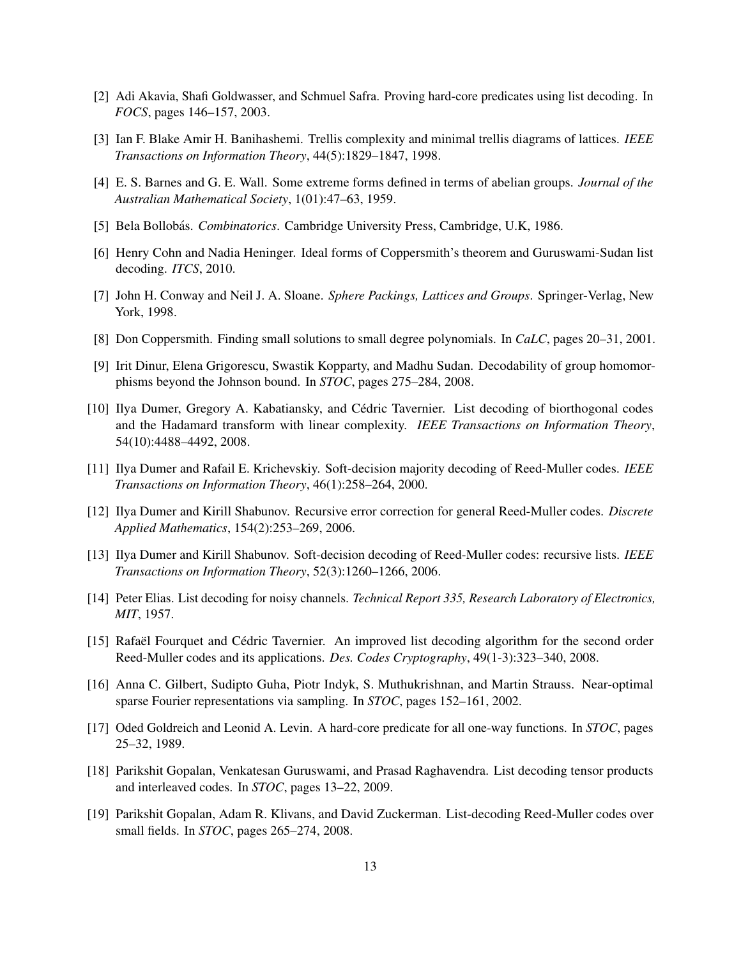- <span id="page-13-3"></span>[2] Adi Akavia, Shafi Goldwasser, and Schmuel Safra. Proving hard-core predicates using list decoding. In *FOCS*, pages 146–157, 2003.
- <span id="page-13-9"></span>[3] Ian F. Blake Amir H. Banihashemi. Trellis complexity and minimal trellis diagrams of lattices. *IEEE Transactions on Information Theory*, 44(5):1829–1847, 1998.
- <span id="page-13-8"></span>[4] E. S. Barnes and G. E. Wall. Some extreme forms defined in terms of abelian groups. *Journal of the Australian Mathematical Society*, 1(01):47–63, 1959.
- <span id="page-13-10"></span>[5] Bela Bollobás. *Combinatorics*. Cambridge University Press, Cambridge, U.K, 1986.
- <span id="page-13-11"></span>[6] Henry Cohn and Nadia Heninger. Ideal forms of Coppersmith's theorem and Guruswami-Sudan list decoding. *ITCS*, 2010.
- <span id="page-13-7"></span>[7] John H. Conway and Neil J. A. Sloane. *Sphere Packings, Lattices and Groups*. Springer-Verlag, New York, 1998.
- <span id="page-13-12"></span>[8] Don Coppersmith. Finding small solutions to small degree polynomials. In *CaLC*, pages 20–31, 2001.
- <span id="page-13-4"></span>[9] Irit Dinur, Elena Grigorescu, Swastik Kopparty, and Madhu Sudan. Decodability of group homomorphisms beyond the Johnson bound. In *STOC*, pages 275–284, 2008.
- <span id="page-13-16"></span>[10] Ilya Dumer, Gregory A. Kabatiansky, and Cédric Tavernier. List decoding of biorthogonal codes and the Hadamard transform with linear complexity. *IEEE Transactions on Information Theory*, 54(10):4488–4492, 2008.
- <span id="page-13-13"></span>[11] Ilya Dumer and Rafail E. Krichevskiy. Soft-decision majority decoding of Reed-Muller codes. *IEEE Transactions on Information Theory*, 46(1):258–264, 2000.
- <span id="page-13-15"></span>[12] Ilya Dumer and Kirill Shabunov. Recursive error correction for general Reed-Muller codes. *Discrete Applied Mathematics*, 154(2):253–269, 2006.
- <span id="page-13-14"></span>[13] Ilya Dumer and Kirill Shabunov. Soft-decision decoding of Reed-Muller codes: recursive lists. *IEEE Transactions on Information Theory*, 52(3):1260–1266, 2006.
- <span id="page-13-0"></span>[14] Peter Elias. List decoding for noisy channels. *Technical Report 335, Research Laboratory of Electronics, MIT*, 1957.
- <span id="page-13-17"></span>[15] Rafael Fourquet and Cédric Tavernier. An improved list decoding algorithm for the second order Reed-Muller codes and its applications. *Des. Codes Cryptography*, 49(1-3):323–340, 2008.
- <span id="page-13-2"></span>[16] Anna C. Gilbert, Sudipto Guha, Piotr Indyk, S. Muthukrishnan, and Martin Strauss. Near-optimal sparse Fourier representations via sampling. In *STOC*, pages 152–161, 2002.
- <span id="page-13-1"></span>[17] Oded Goldreich and Leonid A. Levin. A hard-core predicate for all one-way functions. In *STOC*, pages 25–32, 1989.
- <span id="page-13-6"></span>[18] Parikshit Gopalan, Venkatesan Guruswami, and Prasad Raghavendra. List decoding tensor products and interleaved codes. In *STOC*, pages 13–22, 2009.
- <span id="page-13-5"></span>[19] Parikshit Gopalan, Adam R. Klivans, and David Zuckerman. List-decoding Reed-Muller codes over small fields. In *STOC*, pages 265–274, 2008.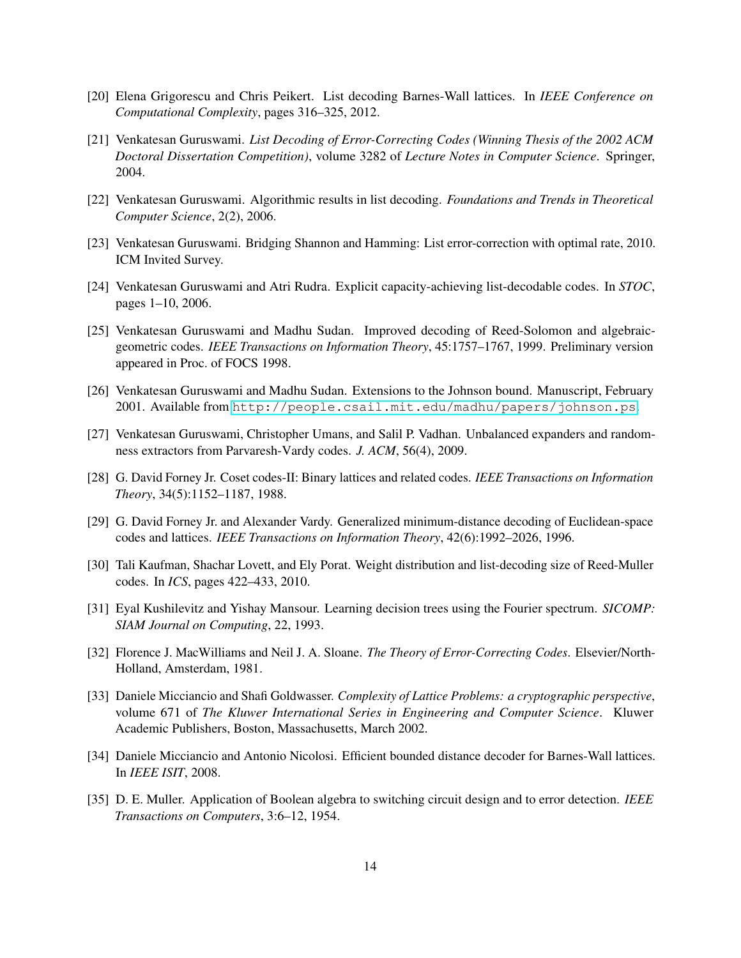- <span id="page-14-0"></span>[20] Elena Grigorescu and Chris Peikert. List decoding Barnes-Wall lattices. In *IEEE Conference on Computational Complexity*, pages 316–325, 2012.
- <span id="page-14-6"></span>[21] Venkatesan Guruswami. *List Decoding of Error-Correcting Codes (Winning Thesis of the 2002 ACM Doctoral Dissertation Competition)*, volume 3282 of *Lecture Notes in Computer Science*. Springer, 2004.
- <span id="page-14-7"></span>[22] Venkatesan Guruswami. Algorithmic results in list decoding. *Foundations and Trends in Theoretical Computer Science*, 2(2), 2006.
- <span id="page-14-8"></span>[23] Venkatesan Guruswami. Bridging Shannon and Hamming: List error-correction with optimal rate, 2010. ICM Invited Survey.
- <span id="page-14-4"></span>[24] Venkatesan Guruswami and Atri Rudra. Explicit capacity-achieving list-decodable codes. In *STOC*, pages 1–10, 2006.
- <span id="page-14-1"></span>[25] Venkatesan Guruswami and Madhu Sudan. Improved decoding of Reed-Solomon and algebraicgeometric codes. *IEEE Transactions on Information Theory*, 45:1757–1767, 1999. Preliminary version appeared in Proc. of FOCS 1998.
- <span id="page-14-13"></span>[26] Venkatesan Guruswami and Madhu Sudan. Extensions to the Johnson bound. Manuscript, February 2001. Available from <http://people.csail.mit.edu/madhu/papers/johnson.ps>.
- <span id="page-14-3"></span>[27] Venkatesan Guruswami, Christopher Umans, and Salil P. Vadhan. Unbalanced expanders and randomness extractors from Parvaresh-Vardy codes. *J. ACM*, 56(4), 2009.
- <span id="page-14-9"></span>[28] G. David Forney Jr. Coset codes-II: Binary lattices and related codes. *IEEE Transactions on Information Theory*, 34(5):1152–1187, 1988.
- <span id="page-14-10"></span>[29] G. David Forney Jr. and Alexander Vardy. Generalized minimum-distance decoding of Euclidean-space codes and lattices. *IEEE Transactions on Information Theory*, 42(6):1992–2026, 1996.
- <span id="page-14-5"></span>[30] Tali Kaufman, Shachar Lovett, and Ely Porat. Weight distribution and list-decoding size of Reed-Muller codes. In *ICS*, pages 422–433, 2010.
- <span id="page-14-2"></span>[31] Eyal Kushilevitz and Yishay Mansour. Learning decision trees using the Fourier spectrum. *SICOMP: SIAM Journal on Computing*, 22, 1993.
- <span id="page-14-15"></span>[32] Florence J. MacWilliams and Neil J. A. Sloane. *The Theory of Error-Correcting Codes*. Elsevier/North-Holland, Amsterdam, 1981.
- <span id="page-14-14"></span>[33] Daniele Micciancio and Shafi Goldwasser. *Complexity of Lattice Problems: a cryptographic perspective*, volume 671 of *The Kluwer International Series in Engineering and Computer Science*. Kluwer Academic Publishers, Boston, Massachusetts, March 2002.
- <span id="page-14-12"></span>[34] Daniele Micciancio and Antonio Nicolosi. Efficient bounded distance decoder for Barnes-Wall lattices. In *IEEE ISIT*, 2008.
- <span id="page-14-11"></span>[35] D. E. Muller. Application of Boolean algebra to switching circuit design and to error detection. *IEEE Transactions on Computers*, 3:6–12, 1954.